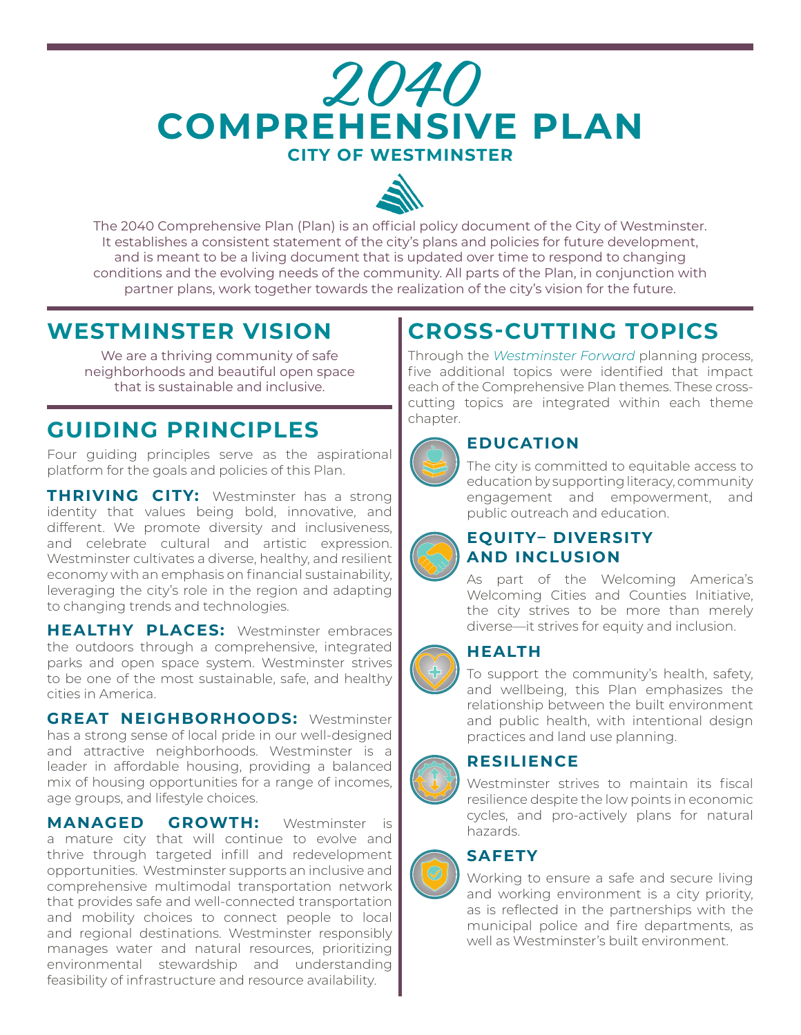# **2040 CITY OF WESTMINSTER COMPREHENSIVE PLAN**



The 2040 Comprehensive Plan (Plan) is an official policy document of the City of Westminster. It establishes a consistent statement of the city's plans and policies for future development, and is meant to be a living document that is updated over time to respond to changing conditions and the evolving needs of the community. All parts of the Plan, in conjunction with partner plans, work together towards the realization of the city's vision for the future.

### **WESTMINSTER VISION**

We are a thriving community of safe neighborhoods and beautiful open space that is sustainable and inclusive.

### **GUIDING PRINCIPLES**

Four guiding principles serve as the aspirational platform for the goals and policies of this Plan.

**THRIVING CITY:** Westminster has a strong identity that values being bold, innovative, and different. We promote diversity and inclusiveness, and celebrate cultural and artistic expression. Westminster cultivates a diverse, healthy, and resilient economy with an emphasis on financial sustainability, leveraging the city's role in the region and adapting to changing trends and technologies.

**HEALTHY PLACES:** Westminster embraces the outdoors through a comprehensive, integrated parks and open space system. Westminster strives to be one of the most sustainable, safe, and healthy cities in America.

**GREAT NEIGHBORHOODS:** Westminster has a strong sense of local pride in our well-designed and attractive neighborhoods. Westminster is a leader in affordable housing, providing a balanced mix of housing opportunities for a range of incomes, age groups, and lifestyle choices.

**MANAGED GROWTH:** Westminster is a mature city that will continue to evolve and thrive through targeted infill and redevelopment opportunities. Westminster supports an inclusive and comprehensive multimodal transportation network that provides safe and well-connected transportation and mobility choices to connect people to local and regional destinations. Westminster responsibly manages water and natural resources, prioritizing environmental stewardship and understanding feasibility of infrastructure and resource availability.

## **CROSS-CUTTING TOPICS**

Through the *Westminster Forward* planning process, five additional topics were identified that impact each of the Comprehensive Plan themes. These crosscutting topics are integrated within each theme chapter.



#### **EDUCATION**

The city is committed to equitable access to education by supporting literacy, community engagement and empowerment, and public outreach and education.



#### **EQUITY– DIVERSITY AND INCLUSION**

As part of the Welcoming America's Welcoming Cities and Counties Initiative, the city strives to be more than merely diverse—it strives for equity and inclusion.

#### **HEALTH**

To support the community's health, safety, and wellbeing, this Plan emphasizes the relationship between the built environment and public health, with intentional design practices and land use planning.

#### **RESILIENCE**

Westminster strives to maintain its fiscal resilience despite the low points in economic cycles, and pro-actively plans for natural hazards.



#### **SAFETY**

Working to ensure a safe and secure living and working environment is a city priority, as is reflected in the partnerships with the municipal police and fire departments, as well as Westminster's built environment.